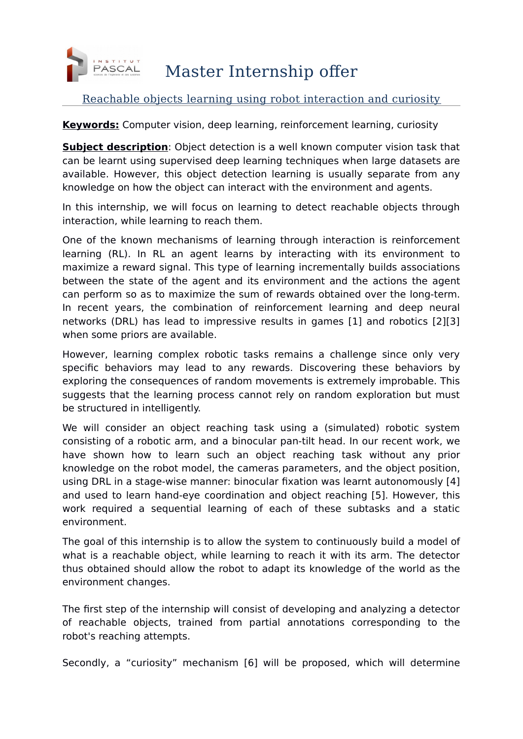

## Master Internship offer

## Reachable objects learning using robot interaction and curiosity

**Keywords:** Computer vision, deep learning, reinforcement learning, curiosity

**Subject description**: Object detection is a well known computer vision task that can be learnt using supervised deep learning techniques when large datasets are available. However, this object detection learning is usually separate from any knowledge on how the object can interact with the environment and agents.

In this internship, we will focus on learning to detect reachable objects through interaction, while learning to reach them.

One of the known mechanisms of learning through interaction is reinforcement learning (RL). In RL an agent learns by interacting with its environment to maximize a reward signal. This type of learning incrementally builds associations between the state of the agent and its environment and the actions the agent can perform so as to maximize the sum of rewards obtained over the long-term. In recent years, the combination of reinforcement learning and deep neural networks (DRL) has lead to impressive results in games [1] and robotics [2][3] when some priors are available.

However, learning complex robotic tasks remains a challenge since only very specific behaviors may lead to any rewards. Discovering these behaviors by exploring the consequences of random movements is extremely improbable. This suggests that the learning process cannot rely on random exploration but must be structured in intelligently.

We will consider an object reaching task using a (simulated) robotic system consisting of a robotic arm, and a binocular pan-tilt head. In our recent work, we have shown how to learn such an object reaching task without any prior knowledge on the robot model, the cameras parameters, and the object position, using DRL in a stage-wise manner: binocular fixation was learnt autonomously [4] and used to learn hand-eye coordination and object reaching [5]. However, this work required a sequential learning of each of these subtasks and a static environment.

The goal of this internship is to allow the system to continuously build a model of what is a reachable object, while learning to reach it with its arm. The detector thus obtained should allow the robot to adapt its knowledge of the world as the environment changes.

The first step of the internship will consist of developing and analyzing a detector of reachable objects, trained from partial annotations corresponding to the robot's reaching attempts.

Secondly, a "curiosity" mechanism [6] will be proposed, which will determine